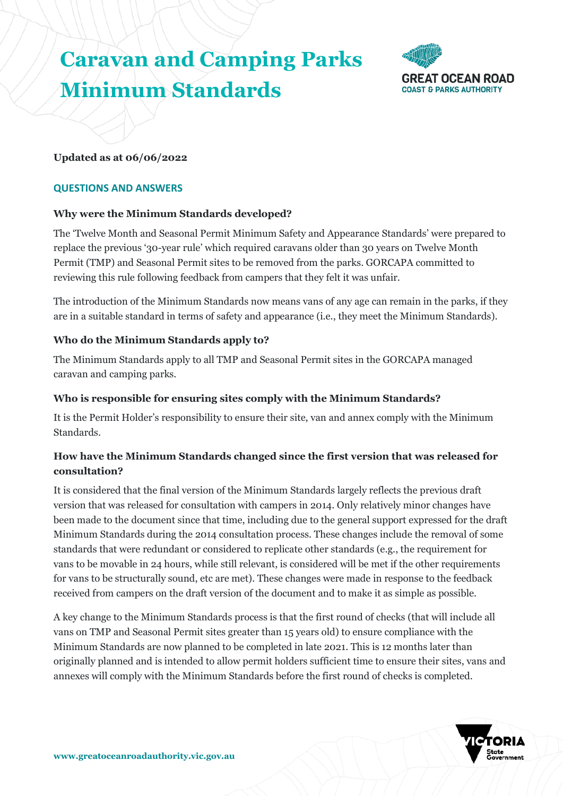# **Caravan and Camping Parks Minimum Standards**



## **Updated as at 06/06/2022**

#### **QUESTIONS AND ANSWERS**

## **Why were the Minimum Standards developed?**

The 'Twelve Month and Seasonal Permit Minimum Safety and Appearance Standards' were prepared to replace the previous '30-year rule' which required caravans older than 30 years on Twelve Month Permit (TMP) and Seasonal Permit sites to be removed from the parks. GORCAPA committed to reviewing this rule following feedback from campers that they felt it was unfair.

The introduction of the Minimum Standards now means vans of any age can remain in the parks, if they are in a suitable standard in terms of safety and appearance (i.e., they meet the Minimum Standards).

# **Who do the Minimum Standards apply to?**

The Minimum Standards apply to all TMP and Seasonal Permit sites in the GORCAPA managed caravan and camping parks.

## **Who is responsible for ensuring sites comply with the Minimum Standards?**

It is the Permit Holder's responsibility to ensure their site, van and annex comply with the Minimum Standards.

# **How have the Minimum Standards changed since the first version that was released for consultation?**

It is considered that the final version of the Minimum Standards largely reflects the previous draft version that was released for consultation with campers in 2014. Only relatively minor changes have been made to the document since that time, including due to the general support expressed for the draft Minimum Standards during the 2014 consultation process. These changes include the removal of some standards that were redundant or considered to replicate other standards (e.g., the requirement for vans to be movable in 24 hours, while still relevant, is considered will be met if the other requirements for vans to be structurally sound, etc are met). These changes were made in response to the feedback received from campers on the draft version of the document and to make it as simple as possible.

A key change to the Minimum Standards process is that the first round of checks (that will include all vans on TMP and Seasonal Permit sites greater than 15 years old) to ensure compliance with the Minimum Standards are now planned to be completed in late 2021. This is 12 months later than originally planned and is intended to allow permit holders sufficient time to ensure their sites, vans and annexes will comply with the Minimum Standards before the first round of checks is completed.

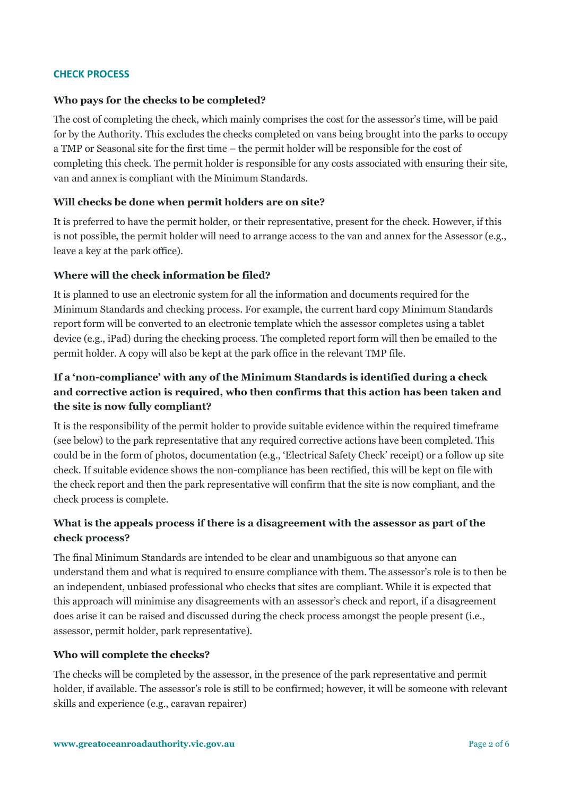#### **CHECK PROCESS**

#### **Who pays for the checks to be completed?**

The cost of completing the check, which mainly comprises the cost for the assessor's time, will be paid for by the Authority. This excludes the checks completed on vans being brought into the parks to occupy a TMP or Seasonal site for the first time – the permit holder will be responsible for the cost of completing this check. The permit holder is responsible for any costs associated with ensuring their site, van and annex is compliant with the Minimum Standards.

#### **Will checks be done when permit holders are on site?**

It is preferred to have the permit holder, or their representative, present for the check. However, if this is not possible, the permit holder will need to arrange access to the van and annex for the Assessor (e.g., leave a key at the park office).

#### **Where will the check information be filed?**

It is planned to use an electronic system for all the information and documents required for the Minimum Standards and checking process. For example, the current hard copy Minimum Standards report form will be converted to an electronic template which the assessor completes using a tablet device (e.g., iPad) during the checking process. The completed report form will then be emailed to the permit holder. A copy will also be kept at the park office in the relevant TMP file.

# **If a 'non-compliance' with any of the Minimum Standards is identified during a check and corrective action is required, who then confirms that this action has been taken and the site is now fully compliant?**

It is the responsibility of the permit holder to provide suitable evidence within the required timeframe (see below) to the park representative that any required corrective actions have been completed. This could be in the form of photos, documentation (e.g., 'Electrical Safety Check' receipt) or a follow up site check. If suitable evidence shows the non-compliance has been rectified, this will be kept on file with the check report and then the park representative will confirm that the site is now compliant, and the check process is complete.

# **What is the appeals process if there is a disagreement with the assessor as part of the check process?**

The final Minimum Standards are intended to be clear and unambiguous so that anyone can understand them and what is required to ensure compliance with them. The assessor's role is to then be an independent, unbiased professional who checks that sites are compliant. While it is expected that this approach will minimise any disagreements with an assessor's check and report, if a disagreement does arise it can be raised and discussed during the check process amongst the people present (i.e., assessor, permit holder, park representative).

#### **Who will complete the checks?**

The checks will be completed by the assessor, in the presence of the park representative and permit holder, if available. The assessor's role is still to be confirmed; however, it will be someone with relevant skills and experience (e.g., caravan repairer)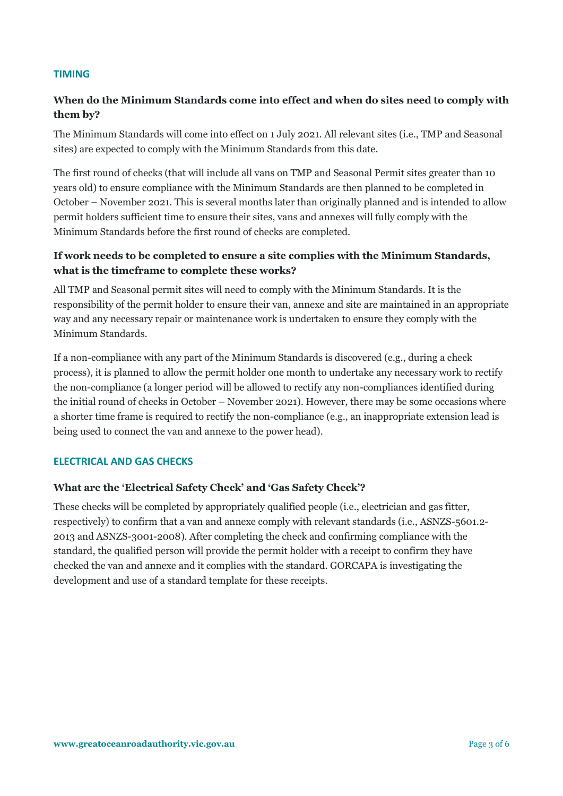#### **TIMING**

# **When do the Minimum Standards come into effect and when do sites need to comply with them by?**

The Minimum Standards will come into effect on 1 July 2021. All relevant sites (i.e., TMP and Seasonal sites) are expected to comply with the Minimum Standards from this date.

The first round of checks (that will include all vans on TMP and Seasonal Permit sites greater than 10 years old) to ensure compliance with the Minimum Standards are then planned to be completed in October – November 2021. This is several months later than originally planned and is intended to allow permit holders sufficient time to ensure their sites, vans and annexes will fully comply with the Minimum Standards before the first round of checks are completed.

# **If work needs to be completed to ensure a site complies with the Minimum Standards, what is the timeframe to complete these works?**

All TMP and Seasonal permit sites will need to comply with the Minimum Standards. It is the responsibility of the permit holder to ensure their van, annexe and site are maintained in an appropriate way and any necessary repair or maintenance work is undertaken to ensure they comply with the Minimum Standards.

If a non-compliance with any part of the Minimum Standards is discovered (e.g., during a check process), it is planned to allow the permit holder one month to undertake any necessary work to rectify the non-compliance (a longer period will be allowed to rectify any non-compliances identified during the initial round of checks in October – November 2021). However, there may be some occasions where a shorter time frame is required to rectify the non-compliance (e.g., an inappropriate extension lead is being used to connect the van and annexe to the power head).

## **ELECTRICAL AND GAS CHECKS**

## **What are the 'Electrical Safety Check' and 'Gas Safety Check'?**

These checks will be completed by appropriately qualified people (i.e., electrician and gas fitter, respectively) to confirm that a van and annexe comply with relevant standards (i.e., ASNZS-5601.2- 2013 and ASNZS-3001-2008). After completing the check and confirming compliance with the standard, the qualified person will provide the permit holder with a receipt to confirm they have checked the van and annexe and it complies with the standard. GORCAPA is investigating the development and use of a standard template for these receipts.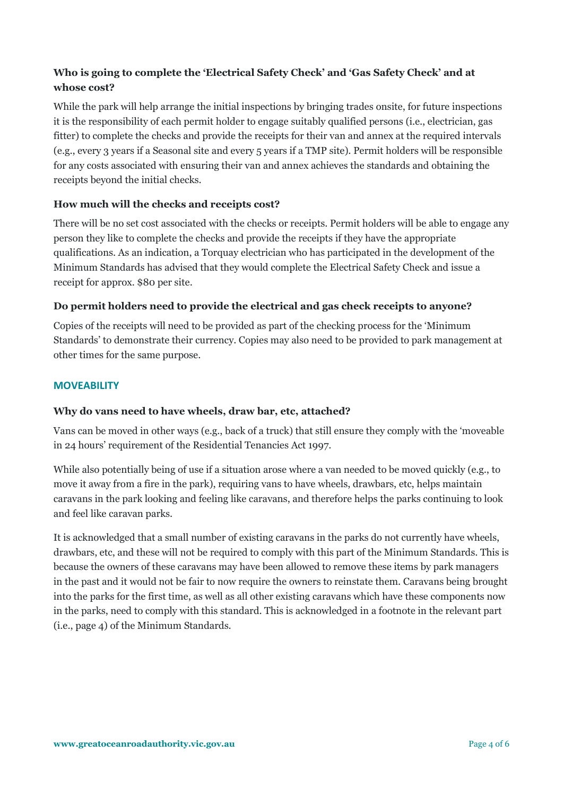# **Who is going to complete the 'Electrical Safety Check' and 'Gas Safety Check' and at whose cost?**

While the park will help arrange the initial inspections by bringing trades onsite, for future inspections it is the responsibility of each permit holder to engage suitably qualified persons (i.e., electrician, gas fitter) to complete the checks and provide the receipts for their van and annex at the required intervals (e.g., every 3 years if a Seasonal site and every 5 years if a TMP site). Permit holders will be responsible for any costs associated with ensuring their van and annex achieves the standards and obtaining the receipts beyond the initial checks.

# **How much will the checks and receipts cost?**

There will be no set cost associated with the checks or receipts. Permit holders will be able to engage any person they like to complete the checks and provide the receipts if they have the appropriate qualifications. As an indication, a Torquay electrician who has participated in the development of the Minimum Standards has advised that they would complete the Electrical Safety Check and issue a receipt for approx. \$80 per site.

# **Do permit holders need to provide the electrical and gas check receipts to anyone?**

Copies of the receipts will need to be provided as part of the checking process for the 'Minimum Standards' to demonstrate their currency. Copies may also need to be provided to park management at other times for the same purpose.

## **MOVEABILITY**

## **Why do vans need to have wheels, draw bar, etc, attached?**

Vans can be moved in other ways (e.g., back of a truck) that still ensure they comply with the 'moveable in 24 hours' requirement of the Residential Tenancies Act 1997.

While also potentially being of use if a situation arose where a van needed to be moved quickly (e.g., to move it away from a fire in the park), requiring vans to have wheels, drawbars, etc, helps maintain caravans in the park looking and feeling like caravans, and therefore helps the parks continuing to look and feel like caravan parks.

It is acknowledged that a small number of existing caravans in the parks do not currently have wheels, drawbars, etc, and these will not be required to comply with this part of the Minimum Standards. This is because the owners of these caravans may have been allowed to remove these items by park managers in the past and it would not be fair to now require the owners to reinstate them. Caravans being brought into the parks for the first time, as well as all other existing caravans which have these components now in the parks, need to comply with this standard. This is acknowledged in a footnote in the relevant part (i.e., page 4) of the Minimum Standards.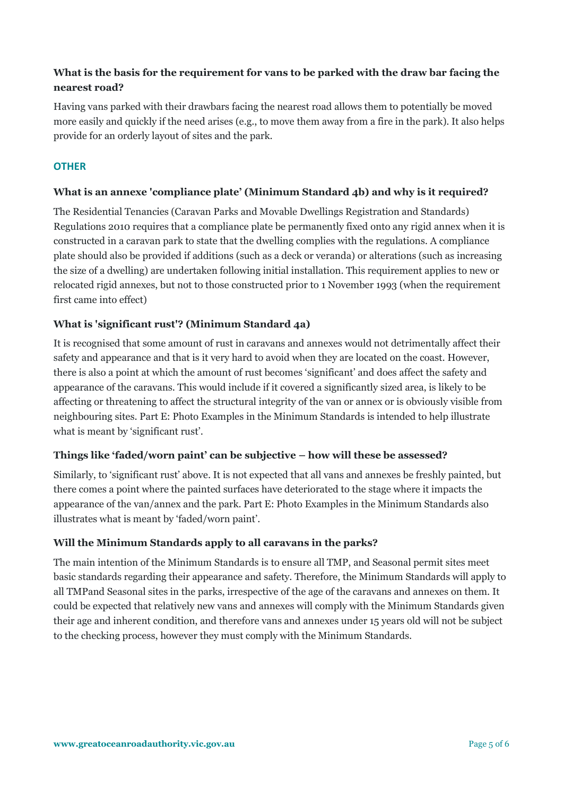# **What is the basis for the requirement for vans to be parked with the draw bar facing the nearest road?**

Having vans parked with their drawbars facing the nearest road allows them to potentially be moved more easily and quickly if the need arises (e.g., to move them away from a fire in the park). It also helps provide for an orderly layout of sites and the park.

## **OTHER**

# **What is an annexe 'compliance plate' (Minimum Standard 4b) and why is it required?**

The Residential Tenancies (Caravan Parks and Movable Dwellings Registration and Standards) Regulations 2010 requires that a compliance plate be permanently fixed onto any rigid annex when it is constructed in a caravan park to state that the dwelling complies with the regulations. A compliance plate should also be provided if additions (such as a deck or veranda) or alterations (such as increasing the size of a dwelling) are undertaken following initial installation. This requirement applies to new or relocated rigid annexes, but not to those constructed prior to 1 November 1993 (when the requirement first came into effect)

# **What is 'significant rust'? (Minimum Standard 4a)**

It is recognised that some amount of rust in caravans and annexes would not detrimentally affect their safety and appearance and that is it very hard to avoid when they are located on the coast. However, there is also a point at which the amount of rust becomes 'significant' and does affect the safety and appearance of the caravans. This would include if it covered a significantly sized area, is likely to be affecting or threatening to affect the structural integrity of the van or annex or is obviously visible from neighbouring sites. Part E: Photo Examples in the Minimum Standards is intended to help illustrate what is meant by 'significant rust'.

## **Things like 'faded/worn paint' can be subjective – how will these be assessed?**

Similarly, to 'significant rust' above. It is not expected that all vans and annexes be freshly painted, but there comes a point where the painted surfaces have deteriorated to the stage where it impacts the appearance of the van/annex and the park. Part E: Photo Examples in the Minimum Standards also illustrates what is meant by 'faded/worn paint'.

## **Will the Minimum Standards apply to all caravans in the parks?**

The main intention of the Minimum Standards is to ensure all TMP, and Seasonal permit sites meet basic standards regarding their appearance and safety. Therefore, the Minimum Standards will apply to all TMPand Seasonal sites in the parks, irrespective of the age of the caravans and annexes on them. It could be expected that relatively new vans and annexes will comply with the Minimum Standards given their age and inherent condition, and therefore vans and annexes under 15 years old will not be subject to the checking process, however they must comply with the Minimum Standards.